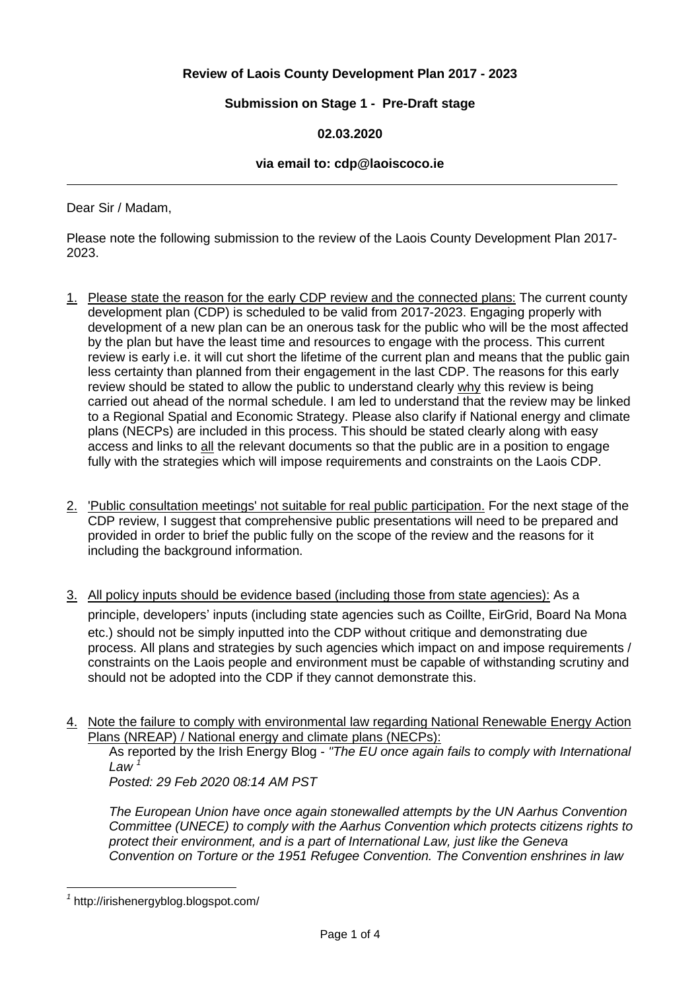# **Review of Laois County Development Plan 2017 - 2023**

## **Submission on Stage 1 - Pre-Draft stage**

## **02.03.2020**

#### **via email to: cdp@laoiscoco.ie**

Dear Sir / Madam,

Please note the following submission to the review of the Laois County Development Plan 2017- 2023.

- 1. Please state the reason for the early CDP review and the connected plans: The current county development plan (CDP) is scheduled to be valid from 2017-2023. Engaging properly with development of a new plan can be an onerous task for the public who will be the most affected by the plan but have the least time and resources to engage with the process. This current review is early i.e. it will cut short the lifetime of the current plan and means that the public gain less certainty than planned from their engagement in the last CDP. The reasons for this early review should be stated to allow the public to understand clearly why this review is being carried out ahead of the normal schedule. I am led to understand that the review may be linked to a Regional Spatial and Economic Strategy. Please also clarify if National energy and climate plans (NECPs) are included in this process. This should be stated clearly along with easy access and links to all the relevant documents so that the public are in a position to engage fully with the strategies which will impose requirements and constraints on the Laois CDP.
- 2. 'Public consultation meetings' not suitable for real public participation. For the next stage of the CDP review, I suggest that comprehensive public presentations will need to be prepared and provided in order to brief the public fully on the scope of the review and the reasons for it including the background information.
- 3. All policy inputs should be evidence based (including those from state agencies): As a principle, developers' inputs (including state agencies such as Coillte, EirGrid, Board Na Mona etc.) should not be simply inputted into the CDP without critique and demonstrating due process. All plans and strategies by such agencies which impact on and impose requirements / constraints on the Laois people and environment must be capable of withstanding scrutiny and should not be adopted into the CDP if they cannot demonstrate this.
- 4. Note the failure to comply with environmental law regarding National Renewable Energy Action Plans (NREAP) / National energy and climate plans (NECPs):

As reported by the Irish Energy Blog - *"The EU once again fails to comply with International Law <sup>1</sup>*

*Posted: 29 Feb 2020 08:14 AM PST*

*The European Union have once again stonewalled attempts by the UN Aarhus Convention Committee (UNECE) to comply with the Aarhus Convention which protects citizens rights to protect their environment, and is a part of International Law, just like the Geneva Convention on Torture or the 1951 Refugee Convention. The Convention enshrines in law*

 $\overline{a}$ 

*<sup>1</sup>* http://irishenergyblog.blogspot.com/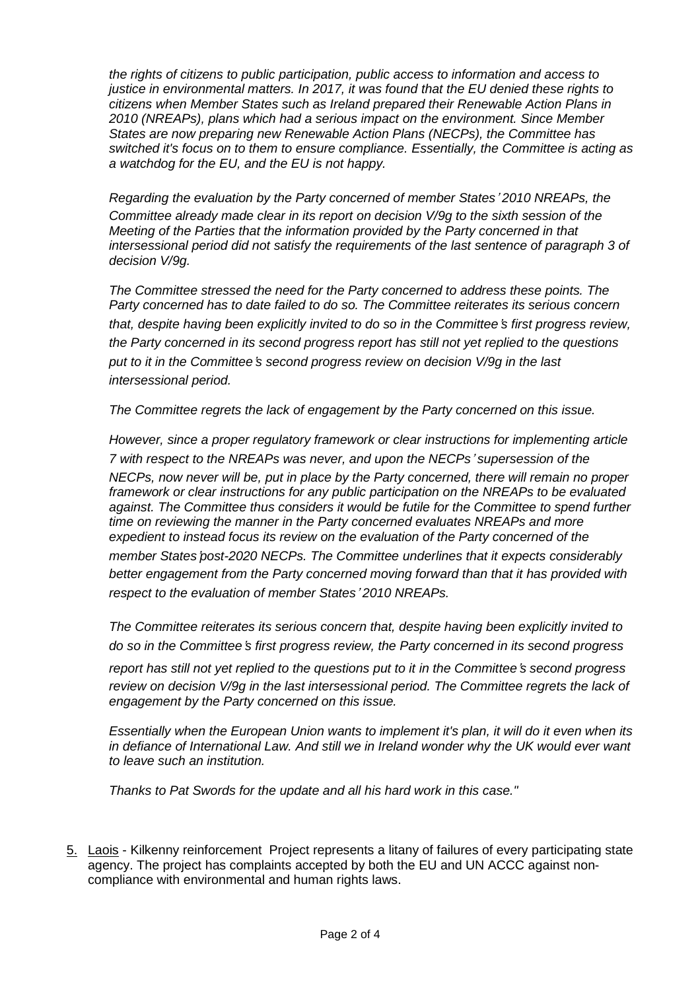*the rights of citizens to public participation, public access to information and access to justice in environmental matters. In 2017, it was found that the EU denied these rights to citizens when Member States such as Ireland prepared their Renewable Action Plans in 2010 (NREAPs), plans which had a serious impact on the environment. Since Member States are now preparing new Renewable Action Plans (NECPs), the Committee has switched it's focus on to them to ensure compliance. Essentially, the Committee is acting as a watchdog for the EU, and the EU is not happy.*

*Regarding the evaluation by the Party concerned of member States*' *2010 NREAPs, the Committee already made clear in its report on decision V/9g to the sixth session of the Meeting of the Parties that the information provided by the Party concerned in that intersessional period did not satisfy the requirements of the last sentence of paragraph 3 of decision V/9g.*

*The Committee stressed the need for the Party concerned to address these points. The Party concerned has to date failed to do so. The Committee reiterates its serious concern that, despite having been explicitly invited to do so in the Committee*'*s first progress review, the Party concerned in its second progress report has still not yet replied to the questions put to it in the Committee*'*s second progress review on decision V/9g in the last intersessional period.*

*The Committee regrets the lack of engagement by the Party concerned on this issue.*

*However, since a proper regulatory framework or clear instructions for implementing article 7 with respect to the NREAPs was never, and upon the NECPs*' *supersession of the NECPs, now never will be, put in place by the Party concerned, there will remain no proper framework or clear instructions for any public participation on the NREAPs to be evaluated against. The Committee thus considers it would be futile for the Committee to spend further time on reviewing the manner in the Party concerned evaluates NREAPs and more expedient to instead focus its review on the evaluation of the Party concerned of the member States*'*post-2020 NECPs. The Committee underlines that it expects considerably better engagement from the Party concerned moving forward than that it has provided with respect to the evaluation of member States*' *2010 NREAPs.*

*The Committee reiterates its serious concern that, despite having been explicitly invited to do so in the Committee*'*s first progress review, the Party concerned in its second progress*

*report has still not yet replied to the questions put to it in the Committee*'*s second progress review on decision V/9g in the last intersessional period. The Committee regrets the lack of engagement by the Party concerned on this issue.*

*Essentially when the European Union wants to implement it's plan, it will do it even when its in defiance of International Law. And still we in Ireland wonder why the UK would ever want to leave such an institution.*

*Thanks to Pat Swords for the update and all his hard work in this case."*

5. Laois - Kilkenny reinforcement Project represents a litany of failures of every participating state agency. The project has complaints accepted by both the EU and UN ACCC against noncompliance with environmental and human rights laws.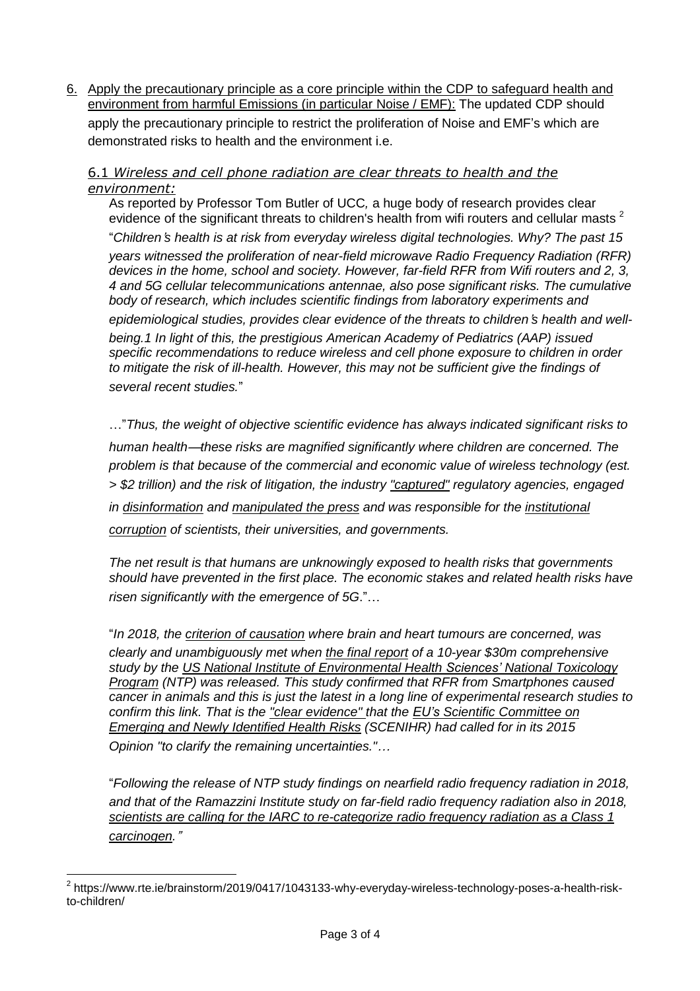6. Apply the precautionary principle as a core principle within the CDP to safeguard health and environment from harmful Emissions (in particular Noise / EMF): The updated CDP should apply the precautionary principle to restrict the proliferation of Noise and EMF's which are demonstrated risks to health and the environment i.e.

## 6.1 *Wireless and cell phone radiation are clear threats to health and the environment:*

As reported by Professor Tom Butler of UCC*,* a huge body of research provides clear evidence of the significant threats to children's health from wifi routers and cellular masts<sup>2</sup> "*Children*'*s health is at risk from everyday wireless digital technologies. Why? The past 15 years witnessed the proliferation of near-field microwave Radio Frequency Radiation (RFR) devices in the home, school and society. However, far-field RFR from Wifi routers and 2, 3, 4 and 5G cellular telecommunications antennae, also pose significant risks. The cumulative body of research, which includes scientific findings from laboratory experiments and epidemiological studies, provides clear evidence of the threats to children*'*s health and wellbeing.1 In light of this, the prestigious American Academy of Pediatrics (AAP) issued specific recommendations to reduce wireless and cell phone exposure to children in order*

*to mitigate the risk of ill-health. However, this may not be sufficient give the findings of several recent studies.*"

…"*Thus, the weight of objective scientific evidence has always indicated significant risks to human health*—*these risks are magnified significantly where children are concerned. The problem is that because of the commercial and economic value of wireless technology (est. > \$2 trillion) and the risk of litigation, the industry ["captured"](https://ethics.harvard.edu/files/center-for-ethics/files/capturedagency_alster.pdf) regulatory agencies, engaged in [disinformation](https://www.thenation.com/article/how-big-wireless-made-us-think-that-cell-phones-are-safe-a-special-investigation/) and [manipulated](https://www.thenation.com/article/how-big-wireless-made-us-think-that-cell-phones-are-safe-a-special-investigation/) the press and was responsible for the [institutional](https://today.law.harvard.edu/at-center-for-ethics-event-cell-phone-radiation-and-institutional-corruption-addressed-video/) [corruption](https://today.law.harvard.edu/at-center-for-ethics-event-cell-phone-radiation-and-institutional-corruption-addressed-video/) of scientists, their universities, and governments.*

*The net result is that humans are unknowingly exposed to health risks that governments should have prevented in the first place. The economic stakes and related health risks have risen significantly with the emergence of 5G*."…

"*In 2018, the criterion of [causation](https://www.ncbi.nlm.nih.gov/pubmed/20947872) where brain and heart tumours are concerned, was clearly and unambiguously met when the final [report](https://www.niehs.nih.gov/health/materials/cell_phone_radiofrequency_radiation_studies_508.pdf.) of a 10-year \$30m comprehensive study by the US National Institute of [Environmental](https://ntp.niehs.nih.gov/) Health Sciences' National Toxicology [Program](https://ntp.niehs.nih.gov/) (NTP) was released. This study confirmed that RFR from Smartphones caused cancer in animals and this is just the latest in a long line of experimental research studies to confirm this link. That is the "clear [evidence"](https://ec.europa.eu/health/scientific_committees/emerging/docs/scenihr_o_041.pdf) that the EU's Scientific [Committee](https://ec.europa.eu/health/scientific_committees/emerging_en) on [Emerging](https://ec.europa.eu/health/scientific_committees/emerging_en) and Newly Identified Health Risks (SCENIHR) had called for in its 2015 Opinion "to clarify the remaining uncertainties."*…

"*Following the release of NTP study findings on nearfield radio frequency radiation in 2018, and that of the Ramazzini Institute study on far-field radio frequency radiation also in 2018, scientists are calling for the IARC to [re-categorize](https://www.ncbi.nlm.nih.gov/pubmed/30196934) radio frequency radiation as a Class 1 [carcinogen.](https://www.ncbi.nlm.nih.gov/pubmed/30196934)*"

 $\overline{a}$  $^{\text{2}}$  https://www.rte.ie/brainstorm/2019/0417/1043133-why-everyday-wireless-technology-poses-a-health-riskto-children/